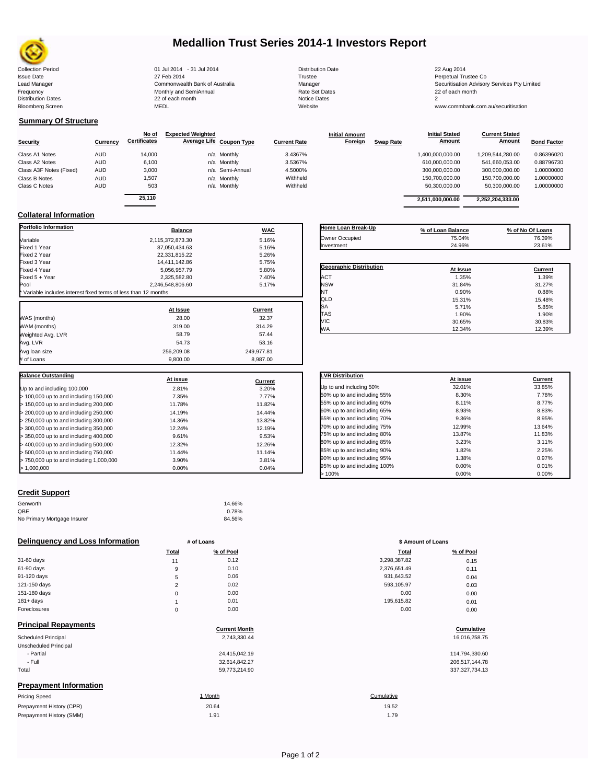

# **Medallion Trust Series 2014-1 Investors Report**

| <b>Collection Period</b>  | 01 Jul 2014 - 31 Jul 2014      | <b>Distribution Date</b> | 22 Aug 2014                             |
|---------------------------|--------------------------------|--------------------------|-----------------------------------------|
| <b>Issue Date</b>         | 27 Feb 2014                    | Trustee                  | Perpetual Trustee Co                    |
| Lead Manager              | Commonwealth Bank of Australia | Manager                  | Securitisation Advisory Services Pty Li |
| Frequency                 | Monthly and SemiAnnual         | Rate Set Dates           | 22 of each month                        |
| <b>Distribution Dates</b> | 22 of each month               | Notice Dates             |                                         |
| <b>Bloomberg Screen</b>   | <b>MEDL</b>                    | Website                  | www.commbank.com.au/securitisation      |
|                           |                                |                          |                                         |

# **Summary Of Structure**

|                         |            | No of               | <b>Expected Weighted</b> |                     | <b>Initial Amount</b> |                  | <b>Initial Stated</b> | <b>Current Stated</b> |                    |
|-------------------------|------------|---------------------|--------------------------|---------------------|-----------------------|------------------|-----------------------|-----------------------|--------------------|
| <b>Security</b>         | Currency   | <b>Certificates</b> | Average Life Coupon Type | <b>Current Rate</b> | Foreign               | <b>Swap Rate</b> | <b>Amount</b>         | <b>Amount</b>         | <b>Bond Factor</b> |
| Class A1 Notes          | <b>AUD</b> | 14,000              | n/a Monthly              | 3.4367%             |                       |                  | 1,400,000,000.00      | 1.209.544.280.00      | 0.86396020         |
| Class A2 Notes          | AUD        | 6,100               | n/a Monthly              | 3.5367%             |                       |                  | 610,000,000.00        | 541,660,053.00        | 0.88796730         |
| Class A3F Notes (Fixed) | AUD        | 3,000               | n/a Semi-Annual          | 4.5000%             |                       |                  | 300,000,000.00        | 300.000.000.00        | 1.00000000         |
| Class B Notes           | <b>AUD</b> | 1.507               | n/a Monthly              | Withheld            |                       |                  | 150,700,000.00        | 150.700.000.00        | 1.00000000         |
| Class C Notes           | <b>AUD</b> | 503                 | n/a Monthly              | Withheld            |                       |                  | 50,300,000.00         | 50,300,000.00         | 1.00000000         |
|                         |            | $-110$              |                          |                     |                       |                  |                       |                       |                    |

| No of<br>ificates | <b>Expected Weighted</b> | Average Life Coupon Type | <b>Current Rate</b> | <b>Initial Amount</b><br><b>Foreign</b> | <b>Swap Rate</b> | <b>Initial Stated</b><br>Amount | <b>Current Stated</b><br>Amount | <b>Bond Factor</b> |
|-------------------|--------------------------|--------------------------|---------------------|-----------------------------------------|------------------|---------------------------------|---------------------------------|--------------------|
|                   |                          |                          |                     |                                         |                  |                                 |                                 |                    |
| 14.000            |                          | n/a Monthly              | 3.4367%             |                                         |                  | 1,400,000,000.00                | 1,209,544,280.00                | 0.86396020         |
| 6.100             |                          | n/a Monthly              | 3.5367%             |                                         |                  | 610.000.000.00                  | 541.660.053.00                  | 0.88796730         |
| 3.000             |                          | n/a Semi-Annual          | 4.5000%             |                                         |                  | 300.000.000.00                  | 300.000.000.00                  | 1.00000000         |
| 1,507             |                          | n/a Monthly              | Withheld            |                                         |                  | 150,700,000.00                  | 150,700,000.00                  | 1.00000000         |
| 503               |                          | n/a Monthly              | Withheld            |                                         |                  | 50.300.000.00                   | 50.300.000.00                   | 1.00000000         |
| 25.110            |                          |                          |                     |                                         |                  | 2,511,000,000.00                | 2,252,204,333.00                |                    |
|                   |                          |                          |                     |                                         |                  |                                 |                                 |                    |
|                   |                          |                          |                     |                                         |                  |                                 |                                 |                    |

## **Collateral Information**

| <b>Portfolio Information</b>                                  | <b>Balance</b>   | <b>WAC</b> |
|---------------------------------------------------------------|------------------|------------|
| Variable                                                      | 2,115,372,873.30 | 5.16%      |
| Fixed 1 Year                                                  | 87,050,434.63    | 5.16%      |
| Fixed 2 Year                                                  | 22,331,815.22    | 5.26%      |
| Fixed 3 Year                                                  | 14,411,142.86    | 5.75%      |
| Fixed 4 Year                                                  | 5,056,957.79     | 5.80%      |
| Fixed 5 + Year                                                | 2,325,582.80     | 7.40%      |
| Pool                                                          | 2.246.548.806.60 | 5.17%      |
| Variable includes interest fixed terms of less than 12 months |                  |            |
|                                                               | At Issue         | Current    |
| WAS (months)                                                  | 28.00            | 32.37      |
| WAM (months)                                                  | 319.00           | 314.29     |
| Weighted Avg. LVR                                             | 58.79            | 57.44      |
| Avg. LVR                                                      | 54.73            | 53.16      |
| Avg loan size                                                 | 256,209.08       | 249,977.81 |
| # of Loans                                                    | 9,800.00         | 8,987.00   |
|                                                               |                  |            |
| <b>Balance Outstanding</b>                                    | At issue         | Current    |
| Up to and including 100,000                                   | 2.81%            | 3.20%      |
| > 100,000 up to and including 150,000                         | 7.35%            | 7.77%      |
| > 150,000 up to and including 200,000                         | 11.78%           | 11.82%     |
| > 200,000 up to and including 250,000                         | 14.19%           | 14.44%     |
| > 250,000 up to and including 300,000                         | 14.36%           | 13.82%     |
| > 300,000 up to and including 350,000                         | 12.24%           | 12.19%     |
| > 350,000 up to and including 400,000                         | 9.61%            | 9.53%      |
| > 400,000 up to and including 500,000                         | 12.32%           | 12.26%     |
| > 500,000 up to and including 750,000                         | 11.44%           | 11.14%     |
| > 750,000 up to and including 1,000,000                       | 3.90%            | 3.81%      |
| > 1,000,000                                                   | 0.00%            | 0.04%      |

| Home Loan Break-Up      | % of Loan Balance | % of No Of Loans |
|-------------------------|-------------------|------------------|
| Owner Occupied          | 75.04%            | 76.39%           |
| Investment              | 24.96%            | 23.61%           |
|                         |                   |                  |
| Geographic Distribution | At Issue          | Current          |
|                         |                   |                  |
| <b>ACT</b>              | 1.35%             | 1.39%            |
| <b>NSW</b>              | 31.84%            | 31.27%           |
| NT                      | 0.90%             | 0.88%            |
| QLD                     | 15.31%            | 15.48%           |
| SA                      | 5.71%             | 5.85%            |
| <b>TAS</b>              | 1.90%             | 1.90%            |
| <b>VIC</b>              | 30.65%            | 30.83%           |
| <b>WA</b>               | 12.34%            | 12.39%           |

| <b>LVR Distribution</b>      | At issue | Current |
|------------------------------|----------|---------|
| Up to and including 50%      | 32.01%   | 33.85%  |
| 50% up to and including 55%  | 8.30%    | 7.78%   |
| 55% up to and including 60%  | 8.11%    | 8.77%   |
| 60% up to and including 65%  | 8.93%    | 8.83%   |
| 65% up to and including 70%  | 9.36%    | 8.95%   |
| 70% up to and including 75%  | 12.99%   | 13.64%  |
| 75% up to and including 80%  | 13.87%   | 11.83%  |
| 80% up to and including 85%  | 3.23%    | 3.11%   |
| 85% up to and including 90%  | 1.82%    | 2.25%   |
| 90% up to and including 95%  | 1.38%    | 0.97%   |
| 95% up to and including 100% | 0.00%    | 0.01%   |
| >100%                        | 0.00%    | 0.00%   |

### **Credit Support**

Prepayment History (SMM)

| Genworth                    | 14.66% |
|-----------------------------|--------|
| OBE                         | 0.78%  |
| No Primary Mortgage Insurer | 84.56% |

### **Delinquency and Loss Information # of Loans # of Loans \$ Amount of Loans**

|              | Total    | % of Pool | Total        | % of Pool |
|--------------|----------|-----------|--------------|-----------|
| 31-60 days   | 11       | 0.12      | 3,298,387.82 | 0.15      |
| 61-90 days   | 9        | 0.10      | 2,376,651.49 | 0.11      |
| 91-120 days  | 5        | 0.06      | 931,643.52   | 0.04      |
| 121-150 days | ົ        | 0.02      | 593,105.97   | 0.03      |
| 151-180 days | 0        | 0.00      | 0.00         | 0.00      |
| $181 + days$ |          | 0.01      | 195.615.82   | 0.01      |
| Foreclosures | $\Omega$ | 0.00      | 0.00         | 0.00      |
|              |          |           |              |           |

| <b>Principal Repayments</b>   |                      |                   |
|-------------------------------|----------------------|-------------------|
|                               | <b>Current Month</b> | Cumulative        |
| Scheduled Principal           | 2,743,330.44         | 16,016,258.75     |
| Unscheduled Principal         |                      |                   |
| - Partial                     | 24,415,042.19        | 114,794,330.60    |
| - Full                        | 32,614,842.27        | 206,517,144.78    |
| Total                         | 59,773,214.90        | 337, 327, 734. 13 |
| <b>Prepayment Information</b> |                      |                   |
| <b>Pricing Speed</b>          | 1 Month              | Cumulative        |
| Prepayment History (CPR)      | 20.64                | 19.52             |

|                | $ \,  \,  \,  \,  \,$ |              |           |  |  |
|----------------|-----------------------|--------------|-----------|--|--|
| Total          | % of Pool             | <b>Total</b> | % of Pool |  |  |
| 11             | 0.12                  | 3,298,387.82 | 0.15      |  |  |
| 9              | 0.10                  | 2,376,651.49 | 0.11      |  |  |
| 5              | 0.06                  | 931,643.52   | 0.04      |  |  |
| $\overline{2}$ | 0.02                  | 593,105.97   | 0.03      |  |  |
| 0              | 0.00                  | 0.00         | 0.00      |  |  |
| ٠              | 0.01                  | 195,615.82   | 0.01      |  |  |
| $\mathbf 0$    | 0.00                  | 0.00         | 0.00      |  |  |
|                |                       |              |           |  |  |

# **Cumulative**

1.91 1.79 19.52